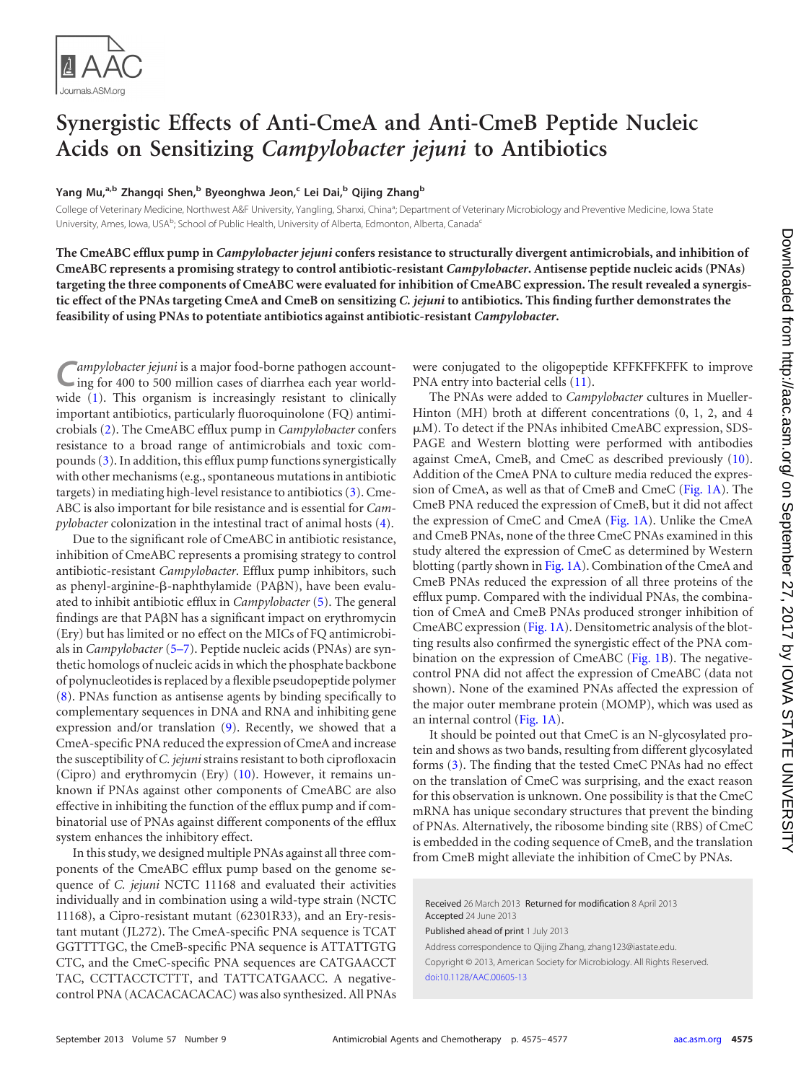

## **Synergistic Effects of Anti-CmeA and Anti-CmeB Peptide Nucleic Acids on Sensitizing** *Campylobacter jejuni* **to Antibiotics**

## **Yang Mu, a,b Zhangqi Shen, <sup>b</sup> Byeonghwa Jeon, <sup>c</sup> Lei Dai, <sup>b</sup> Qijing Zhangb**

College of Veterinary Medicine, Northwest A&F University, Yangling, Shanxi, China<sup>a</sup>; Department of Veterinary Microbiology and Preventive Medicine, Iowa State University, Ames, Iowa, USA<sup>b</sup>; School of Public Health, University of Alberta, Edmonton, Alberta, Canada<sup>c</sup>

**The CmeABC efflux pump in** *Campylobacter jejuni* **confers resistance to structurally divergent antimicrobials, and inhibition of CmeABC represents a promising strategy to control antibiotic-resistant** *Campylobacter***. Antisense peptide nucleic acids (PNAs) targeting the three components of CmeABC were evaluated for inhibition of CmeABC expression. The result revealed a synergistic effect of the PNAs targeting CmeA and CmeB on sensitizing** *C. jejuni* **to antibiotics. This finding further demonstrates the feasibility of using PNAs to potentiate antibiotics against antibiotic-resistant** *Campylobacter***.**

ampylobacter jejuni is a major food-borne pathogen accounting for 400 to 500 million cases of diarrhea each year worldwide [\(1\)](#page-1-0). This organism is increasingly resistant to clinically important antibiotics, particularly fluoroquinolone (FQ) antimicrobials [\(2\)](#page-1-1). The CmeABC efflux pump in *Campylobacter* confers resistance to a broad range of antimicrobials and toxic compounds [\(3\)](#page-2-0). In addition, this efflux pump functions synergistically with other mechanisms (e.g., spontaneous mutations in antibiotic targets) in mediating high-level resistance to antibiotics [\(3\)](#page-2-0). Cme-ABC is also important for bile resistance and is essential for *Campylobacter* colonization in the intestinal tract of animal hosts [\(4\)](#page-2-1).

Due to the significant role of CmeABC in antibiotic resistance, inhibition of CmeABC represents a promising strategy to control antibiotic-resistant *Campylobacter*. Efflux pump inhibitors, such as phenyl-arginine- $\beta$ -naphthylamide (PA $\beta$ N), have been evaluated to inhibit antibiotic efflux in *Campylobacter* [\(5\)](#page-2-2). The general findings are that PAN has a significant impact on erythromycin (Ery) but has limited or no effect on the MICs of FQ antimicrobials in *Campylobacter* [\(5](#page-2-2)[–](#page-2-3)[7\)](#page-2-4). Peptide nucleic acids (PNAs) are synthetic homologs of nucleic acids in which the phosphate backbone of polynucleotides is replaced by a flexible pseudopeptide polymer [\(8\)](#page-2-5). PNAs function as antisense agents by binding specifically to complementary sequences in DNA and RNA and inhibiting gene expression and/or translation [\(9\)](#page-2-6). Recently, we showed that a CmeA-specific PNA reduced the expression of CmeA and increase the susceptibility of *C. jejuni*strains resistant to both ciprofloxacin (Cipro) and erythromycin (Ery) [\(10\)](#page-2-7). However, it remains unknown if PNAs against other components of CmeABC are also effective in inhibiting the function of the efflux pump and if combinatorial use of PNAs against different components of the efflux system enhances the inhibitory effect.

In this study, we designed multiple PNAs against all three components of the CmeABC efflux pump based on the genome sequence of *C. jejuni* NCTC 11168 and evaluated their activities individually and in combination using a wild-type strain (NCTC 11168), a Cipro-resistant mutant (62301R33), and an Ery-resistant mutant (JL272). The CmeA-specific PNA sequence is TCAT GGTTTTGC, the CmeB-specific PNA sequence is ATTATTGTG CTC, and the CmeC-specific PNA sequences are CATGAACCT TAC, CCTTACCTCTTT, and TATTCATGAACC. A negativecontrol PNA (ACACACACACAC) was also synthesized. All PNAs were conjugated to the oligopeptide KFFKFFKFFK to improve PNA entry into bacterial cells [\(11\)](#page-2-8).

The PNAs were added to *Campylobacter* cultures in Mueller-Hinton (MH) broth at different concentrations (0, 1, 2, and 4  $\mu$ M). To detect if the PNAs inhibited CmeABC expression, SDS-PAGE and Western blotting were performed with antibodies against CmeA, CmeB, and CmeC as described previously [\(10\)](#page-2-7). Addition of the CmeA PNA to culture media reduced the expression of CmeA, as well as that of CmeB and CmeC [\(Fig. 1A\)](#page-1-2). The CmeB PNA reduced the expression of CmeB, but it did not affect the expression of CmeC and CmeA [\(Fig. 1A\)](#page-1-2). Unlike the CmeA and CmeB PNAs, none of the three CmeC PNAs examined in this study altered the expression of CmeC as determined by Western blotting (partly shown in [Fig. 1A\)](#page-1-2). Combination of the CmeA and CmeB PNAs reduced the expression of all three proteins of the efflux pump. Compared with the individual PNAs, the combination of CmeA and CmeB PNAs produced stronger inhibition of CmeABC expression [\(Fig. 1A\)](#page-1-2). Densitometric analysis of the blotting results also confirmed the synergistic effect of the PNA combination on the expression of CmeABC [\(Fig. 1B\)](#page-1-2). The negativecontrol PNA did not affect the expression of CmeABC (data not shown). None of the examined PNAs affected the expression of the major outer membrane protein (MOMP), which was used as an internal control [\(Fig. 1A\)](#page-1-2).

It should be pointed out that CmeC is an N-glycosylated protein and shows as two bands, resulting from different glycosylated forms [\(3\)](#page-2-0). The finding that the tested CmeC PNAs had no effect on the translation of CmeC was surprising, and the exact reason for this observation is unknown. One possibility is that the CmeC mRNA has unique secondary structures that prevent the binding of PNAs. Alternatively, the ribosome binding site (RBS) of CmeC is embedded in the coding sequence of CmeB, and the translation from CmeB might alleviate the inhibition of CmeC by PNAs.

Received 26 March 2013 Returned for modification 8 April 2013 Accepted 24 June 2013

Published ahead of print 1 July 2013

Address correspondence to Qijing Zhang, zhang123@iastate.edu. Copyright © 2013, American Society for Microbiology. All Rights Reserved. [doi:10.1128/AAC.00605-13](http://dx.doi.org/10.1128/AAC.00605-13)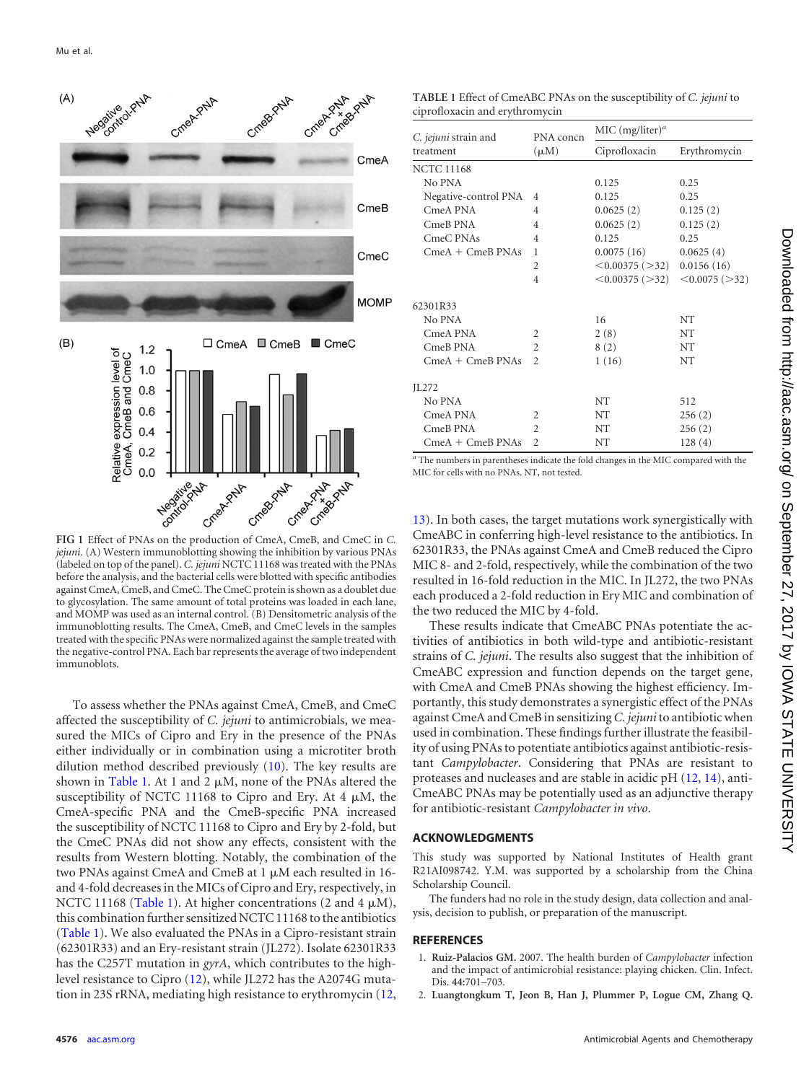

<span id="page-1-2"></span>*jejuni*. (A) Western immunoblotting showing the inhibition by various PNAs (labeled on top of the panel). *C. jejuni* NCTC 11168 was treated with the PNAs before the analysis, and the bacterial cells were blotted with specific antibodies against CmeA, CmeB, and CmeC. The CmeC protein is shown as a doublet due to glycosylation. The same amount of total proteins was loaded in each lane, and MOMP was used as an internal control. (B) Densitometric analysis of the immunoblotting results. The CmeA, CmeB, and CmeC levels in the samples treated with the specific PNAs were normalized against the sample treated with the negative-control PNA. Each bar represents the average of two independent immunoblots.

To assess whether the PNAs against CmeA, CmeB, and CmeC affected the susceptibility of *C. jejuni* to antimicrobials, we measured the MICs of Cipro and Ery in the presence of the PNAs either individually or in combination using a microtiter broth dilution method described previously [\(10\)](#page-2-7). The key results are shown in [Table 1.](#page-1-3) At 1 and 2  $\mu$ M, none of the PNAs altered the susceptibility of NCTC 11168 to Cipro and Ery. At 4  $\mu$ M, the CmeA-specific PNA and the CmeB-specific PNA increased the susceptibility of NCTC 11168 to Cipro and Ery by 2-fold, but the CmeC PNAs did not show any effects, consistent with the results from Western blotting. Notably, the combination of the two PNAs against CmeA and CmeB at 1 µM each resulted in 16and 4-fold decreases in the MICs of Cipro and Ery, respectively, in NCTC 11168 [\(Table 1\)](#page-1-3). At higher concentrations (2 and 4  $\mu$ M), this combination further sensitized NCTC 11168 to the antibiotics [\(Table 1\)](#page-1-3). We also evaluated the PNAs in a Cipro-resistant strain (62301R33) and an Ery-resistant strain (JL272). Isolate 62301R33 has the C257T mutation in *gyrA*, which contributes to the highlevel resistance to Cipro [\(12\)](#page-2-9), while JL272 has the A2074G mutation in 23S rRNA, mediating high resistance to erythromycin [\(12,](#page-2-9)

<span id="page-1-3"></span>**TABLE 1** Effect of CmeABC PNAs on the susceptibility of *C. jejuni* to ciprofloxacin and erythromycin

| C. jejuni strain and | PNA concn      | MIC $(mg/liter)^a$       |                |
|----------------------|----------------|--------------------------|----------------|
| treatment            | $(\mu M)$      | Ciprofloxacin            | Erythromycin   |
| <b>NCTC 11168</b>    |                |                          |                |
| No PNA               |                | 0.125                    | 0.25           |
| Negative-control PNA | $\overline{4}$ | 0.125                    | 0.25           |
| CmeA PNA             | 4              | 0.0625(2)                | 0.125(2)       |
| CmeB PNA             | 4              | 0.0625(2)                | 0.125(2)       |
| CmeC PNAs            | 4              | 0.125                    | 0.25           |
| $CmeA + CmeB$ PNAs   | 1              | 0.0075(16)               | 0.0625(4)      |
|                      | $\overline{c}$ | $\leq 0.00375$ ( $>32$ ) | 0.0156(16)     |
|                      | 4              | $\leq$ 0.00375 ( $>$ 32) | < 0.0075 (>32) |
| 62301R33             |                |                          |                |
| No PNA               |                | 16                       | <b>NT</b>      |
| CmeA PNA             | $\overline{c}$ | 2(8)                     | NT             |
| CmeB PNA             | $\overline{c}$ | 8(2)                     | <b>NT</b>      |
| $CmeA + CmeB$ PNAs   | $\overline{2}$ | 1(16)                    | <b>NT</b>      |
| JL272                |                |                          |                |
| No PNA               |                | NT                       | 512            |
| CmeA PNA             | $\overline{c}$ | NT                       | 256(2)         |
| CmeB PNA             | $\mathfrak{D}$ | NT                       | 256(2)         |
| $CmeA + CmeB$ PNAs   | $\overline{c}$ | NΤ                       | 128(4)         |

*<sup>a</sup>* The numbers in parentheses indicate the fold changes in the MIC compared with the MIC for cells with no PNAs. NT, not tested.

[13\)](#page-2-10). In both cases, the target mutations work synergistically with CmeABC in conferring high-level resistance to the antibiotics. In 62301R33, the PNAs against CmeA and CmeB reduced the Cipro MIC 8- and 2-fold, respectively, while the combination of the two resulted in 16-fold reduction in the MIC. In JL272, the two PNAs each produced a 2-fold reduction in Ery MIC and combination of the two reduced the MIC by 4-fold.

These results indicate that CmeABC PNAs potentiate the activities of antibiotics in both wild-type and antibiotic-resistant strains of *C. jejuni*. The results also suggest that the inhibition of CmeABC expression and function depends on the target gene, with CmeA and CmeB PNAs showing the highest efficiency. Importantly, this study demonstrates a synergistic effect of the PNAs against CmeA and CmeB in sensitizing *C. jejuni* to antibiotic when used in combination. These findings further illustrate the feasibility of using PNAs to potentiate antibiotics against antibiotic-resistant *Campylobacter*. Considering that PNAs are resistant to proteases and nucleases and are stable in acidic pH [\(12,](#page-2-9) [14\)](#page-2-11), anti-CmeABC PNAs may be potentially used as an adjunctive therapy for antibiotic-resistant *Campylobacter in vivo*.

## **ACKNOWLEDGMENTS**

This study was supported by National Institutes of Health grant R21AI098742. Y.M. was supported by a scholarship from the China Scholarship Council.

The funders had no role in the study design, data collection and analysis, decision to publish, or preparation of the manuscript.

## <span id="page-1-0"></span>**REFERENCES**

- <span id="page-1-1"></span>1. **Ruiz-Palacios GM.** 2007. The health burden of *Campylobacter* infection and the impact of antimicrobial resistance: playing chicken. Clin. Infect. Dis. **44:**701–703.
- 2. **Luangtongkum T, Jeon B, Han J, Plummer P, Logue CM, Zhang Q.**